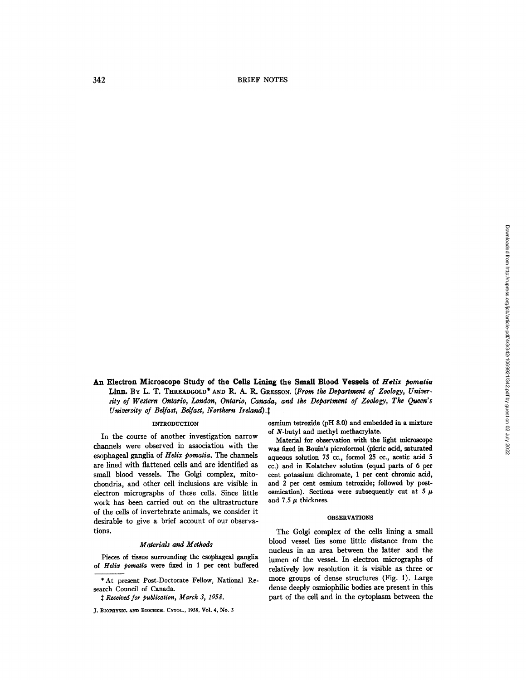342 BRIEF NOTES

**An Electron Microscope Study of the Cells Lining the Small Blood Vessels of** *Helix pomatia*  Linn. By L. T. THREADGOLD<sup>\*</sup> AND R. A. R. GRESSON. (From the Department of Zoology, Univer*sity of Western Ontario, London, Ontario, Canada, and the Department of Zoology, The Queen's University of Belfast, Belfast, Northern Ireland*).<sup>†</sup>

In the course of another investigation narrow channels were observed in association with the esophageal ganglia of *Helix pomatia. The* channels are lined with flattened cells and are identified as small blood vessels. The Golgi complex, mitochondria, and other cell inclusions are visible in electron micrographs of these cells. Since little work has been carried out on the ultrastrueture of the cells of invertebrate animals, we consider it desirable to give a brief account of our observations.

# *Materials and Methods*

Pieces of tissue surrounding the esophageal ganglia of *Helix pomatia* were fixed in 1 per cent buffered

INTRODUCTION osmium tetroxide (pH 8.0) and embedded in a mixture of N-butyl and methyl methacrylate.

> Material for observation with the light microscope was fixed in Bouin's picroformol (picric acid, saturated aqueous solution 75 cc., formol 25 cc., acetic acid 5 cc.) and in Kolatchev solution (equal parts of 6 per cent potassium dichromate, 1 per cent chromic acid, and 2 per cent osmium tetroxide; followed by postosmication). Sections were subsequently cut at 5  $\mu$ and 7.5  $\mu$  thickness.

## OBSERVATIONS

The Golgi complex of the cells lining a small blood vessel lies some little distance from the nucleus in an area between the latter and the lumen of the vessel. In electron micrographs of relatively low resolution it is visible as three or more groups of dense structures (Fig. 1). Large dense deeply osmiophilic bodies are present in this part of the cell and in the cytoplasm between the

<sup>\*</sup>At present Post-Doctorate Fellow, National Research Council of Canada.

*Received for publication, March 3, 1958.* 

J. BIOPHYSIC. AND BIOCHEM. CYTOL., 1958, Vol. 4, No. 3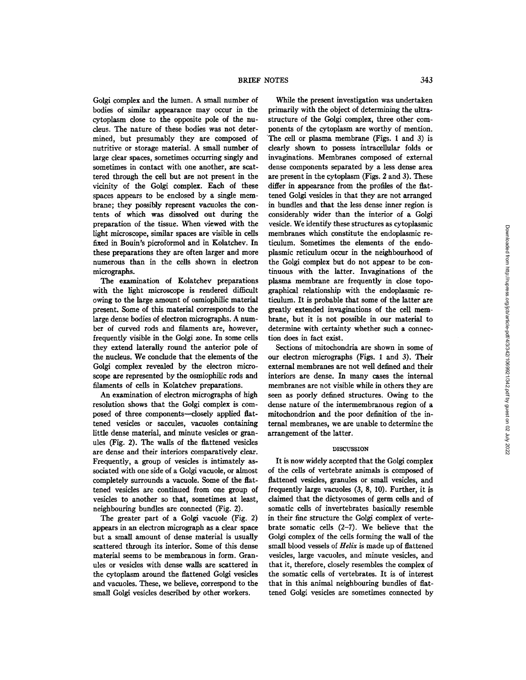Golgi complex and the lumen. A small number of bodies of similar appearance may occur in the cytoplasm close to the opposite pole of the nucleus. The nature of these bodies was not determined, but presumably they are composed of nutritive or storage material. A small number of large clear spaces, sometimes occurring singly and sometimes in contact with one another, are scattered through the cell but are not present in the vicinity of the Golgi complex. Each of these spaces appears to be enclosed by a single membrane; they possibly represent vacuoles the contents of which was dissolved out during the preparation of the tissue. When viewed with the light microscope, similar spaces are visible in cells fixed in Bouin's picroformol and in Kolatchev. In these preparations they are often larger and more numerous than in the cells shown in electron micrographs.

The examination of Kolatchev preparations with the light microscope is rendered difficult owing to the large amount of osmiophilic material present. Some of this material corresponds to the large dense bodies of electron micrographs. A number of curved rods and filaments are, however, frequently visible in the Golgi zone. In some cells they extend laterally round the anterior pole of the uncleus. We conclude that the dements of the Golgi complex revealed by the electron microscope are represented by the osmiophilic rods and filaments of cells in Kolatchev preparations.

An examination of electron micrographs of high resolution shows that the Golgi complex is composed of three components--closely applied flattened vesicles or saccules, vacuoles containing little dense material, and minute vesicles or granules (Fig. 2). The walls of the flattened vesicles are dense and their interiors comparatively dear. Frequently, a group of vesicles is intimately associated with one side of a Golgi vacuole, or almost completely surrounds a vacuole. Some of the flattened vesicles are continued from one group of vesicles to another so that, sometimes at least, neighbouring bundles are connected (Fig. 2).

The greater part of a Golgi vacuole (Fig. 2) appears in an electron micrograph as a clear space but a small amount of dense material is usually scattered through its interior. Some of this dense material seems to be membranous in form. Granules or vesicles with dense walls are scattered in the cytoplasm around the flattened Golgi vesicles and vacuoles. These, we believe, correspond to the small Golgi vesicles described by other workers.

While the present investigation was undertaken primarily with the object of determining the ultrastructure of the Golgi complex, three other components of the cytoplasm are worthy of mention. The cell or plasma membrane (Figs. 1 and 3) is *dearly* shown to possess intraeellular folds or invaginations. Membranes composed of external dense components separated by a less dense area are present in the cytoplasm (Figs. 2 and 3). These differ in appearance from the profiles of the flattened Golgi vesicles in that they are not arranged in bundles and that the less dense inner region is considerably wider than the interior of a Golgi vesicle. We identify these structures as cytoplasmic membranes which constitute the endoplasmic reticulum. Sometimes the elements of the endoplasmic reticulum occur in the neighbouthood of the Golgi complex but do not appear to be continuous with the latter. Invaginations of the plasma membrane are frequently in close topographical relationship with the endoplasmic reticulum. It is probable that some of the latter are greatly extended invaginations of the cell membrane, but it is not possible in our material to determine with certainty whether such a connection does in fact exist.

Sections of mitochondria are shown in some of our electron micrographs (Figs. 1 and 3). Their external membranes are not well defined and their interiors are dense. In many cases the internal membranes are not visible while in others they are seen as poorly defined structures. Owing to the dense nature of the intermembranous region of a mitochondrion and the poor definition of the internal membranes, we are unable to determine the arrangement of the latter.

### DISCUSSION

It is now widely accepted that the Golgi complex of the cells of vertebrate animals is composed of flattened vesicles, granules or small vesicles, and frequently large vacuoles (3, 8, I0). Further, it is claimed that the dictyosomes of germ cells and of somatic cells of invertebrates basically resemble in their fine structure the Golgi complex of vertebrate somatic cells (2-7). We believe that the Golgi complex of the cells forming the wall of the small blood vessels of *Helix* is made up of flattened vesicles, large vacuoles, and minute vesicles, and that it, therefore, closely resembles the complex of the somatic cells of vertebrates. It is of interest that in this animal neighbouring bundles of flattened Golgi vesicles are sometimes connected by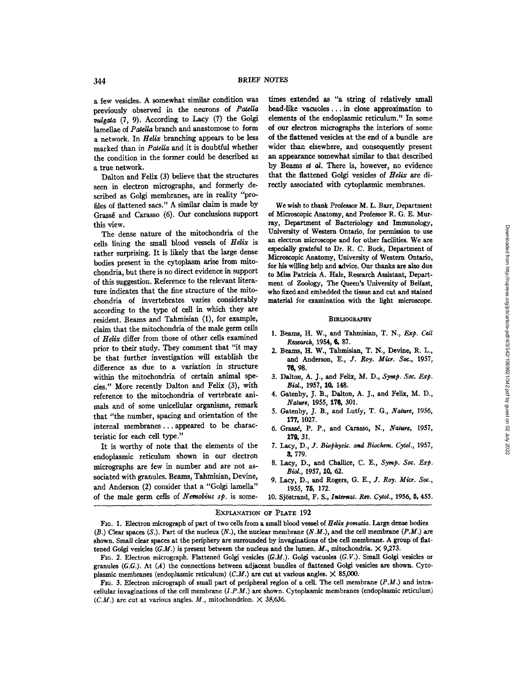a few vesides. A somewhat similar condition was previously observed in the neurons of *Patella ~Igata* (7, 9). According to Lacy (7) the Golgi lamellae of *Patella* branch and anastomose to form a network. In *Helix* branching appears to be less marked than in *Patella* and it is doubtful whether the condition in the former could be described as a true network.

Dalton and Felix (3) believe that the structures seen in electron micrographs, and formerly described as Golgi membranes, are in reality "profiles of flattened sacs." A similar daim is made by Grass6 and Carasso (6). Our conclusions support this view.

The dense nature of the mitochondria of the cells lining the small blood vessels of *Helix* is rather surprising. It is likely that the large dense bodies present in the cytoplasm arise from mitochondria, but there is no direct evidence in support of this suggestion. Reference to the relevant literature indicates that the fine structure of the mitochondria of invertebrates varies considerably according to the type of cell in which they are resident. Beams and Tahmisian (1), for example, claim that the mitochondria of the male germ cells of *Helix* differ from those of other cells examined prior to their study. They comment that *"it may*  be that further investigation will establish the difference as due to a variation in structure within the mitochondria of certain animal species." More recently Dalton and Felix (3), with reference to the mitochondria of vertebrate animals and of some unicellular organisms, remark that "the number, spacing and orientation of the internal membranes.., appeared to be characteristic for each cell type."

It is worthy of note that the elements of the endoplasmic reticulum shown in our electron micrographs are few in number and are not associated with granules. Beams, Tahmisian, Devine, and Anderson (2) consider that a "Golgi lamella" of the male germ cells of *Nemobius sp.* is some-

times extended as "a string of relatively small bead-like vacuoles.., in close approximation to dements of the endoplasmic reticuhm." In some of our electron micrographs the interiors of some of the flattened vesicles at the end of a bundle are wider than elsewhere, and consequently present an appearance somewhat similar to that described by Beams  $et$   $al$ . There is, however, no evidence that the flattened Golgi vesides of *Helix are* directly associated with cytoplasmic membranes.

We wish to thank Professor M. L. Barr, Department of Microscopic Anatomy, and Professor R. G. E. Murray, Department of Bacteriology and Immunology, University of Western Ontario, for permission to use an electron microscope and for other facilities. We are especially grateful to Dr. R. C. Buck, Department of Microscopic Anatomy, University of Western Ontario, for his willing help and advice. Our thanks are also due to Miss Patricia A. Hale, Research Assistant, Department of Zoology, The Queen's University of Belfast, who fixed and embedded the tissue and cut and stained material for examination with the light microscope.

#### **~IBLIOGRAPHY**

- 1. Beams, H. W., and Tahmisian, T. N., *Exp. Cell* **R~t~h, 1954, 6,** 87.
- 2. Beams, H. W., Tahmisian, T. N., Devine, R. L., and Anderson, *E., J. Roy. Mitt. Sot.,* 1957, 76, 98.
- 3. Dalton, A. J., and Felix, M. D., Symp. Soc. Exp. *Biol.,* 1957, 10, 148.
- 4. Gatenby, J. B., Dalton, A. J., and Felix, M. D., *Nature,* 1955, 176, 301.
- 5. Gatenby, J. B., and Lutfy, T. G., *Nature,* 1956, 177, 1027.
- 6. Grassé, P. P., and Carasso, N., *Nature*, 1957, 179, 31.
- *7. Lacy, D., Y. Biophysi¢. and Biochem. Cytol.,* 1957, 8, 779.
- 8. Lacy, D., and Challice, C. E., *Syrup. Soe. Exp. Biol.,* 1957, 10, 62.
- 9. Lacy, D., and Rogers, G. E., J. *Roy. Mitt. Sot.,*  1955, 75, 172.

# EXPLANATION OF PLATE 192

<sup>10.</sup> Sjöstrand, F. S., *Internat. Rev. Cytol.*, 1956, 5, 455.

FIG. 1. Electron micrograph of part of two cells from a small blood vessel of *Hdix pomatia.* Large dense bodies (B.) Clear spaces (S.). Part of the nucleus *(N.), the* nuclear membrane *(N.M.),* and the cell membrane *(P.M.)* are shown. Small clear spaces at the periphery are surrounded by invaginations of the cell membrane. A group of flattened Golgi vesicles  $(G.M.)$  is present between the nucleus and the lumen. M., mitochondria.  $\times$  9,273.

FIG. 2. Electron micrograph. Flattened Golgi vesicles *(G.M.).* Golgi vacuoles *(G.V.).* Small Golgi vesicles or granules *(G.G.).* At (A) the connections between adjacent bundles of flattened Golgi vesicles are shown. Cytoplasmic membranes (endoplasmic reticulum) (C.M.) are cut at various angles.  $\times$  85,000.

FIG. 3. Electron micrograph of small part of peripheral region of a cell. The cell membrane *(P.M.)* and intracellular invaglnations of the cell membrane *(I.P.M.)* are shown. Cytoplasmic membranes (endoplasmic reticulum) *(C.M.)* are cut at various angles. *M.*, mitochondrion.  $\times$  38,636.